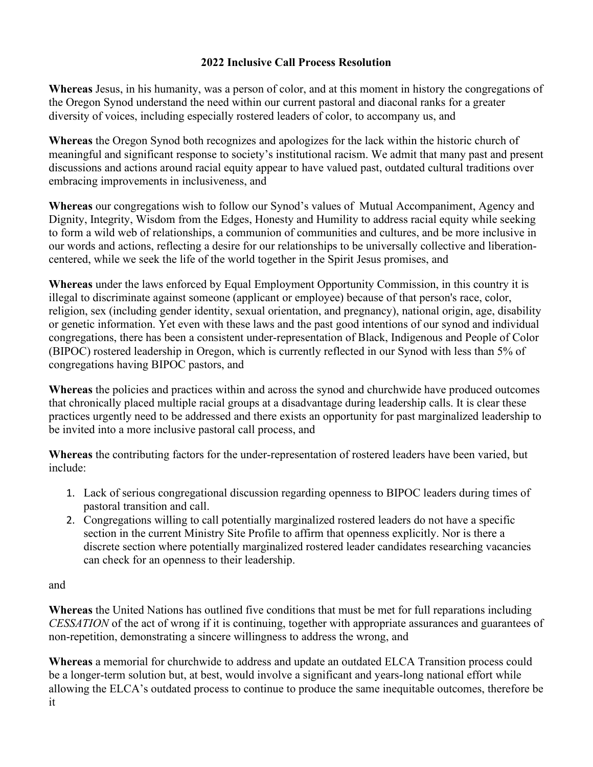## **2022 Inclusive Call Process Resolution**

**Whereas** Jesus, in his humanity, was a person of color, and at this moment in history the congregations of the Oregon Synod understand the need within our current pastoral and diaconal ranks for a greater diversity of voices, including especially rostered leaders of color, to accompany us, and

**Whereas** the Oregon Synod both recognizes and apologizes for the lack within the historic church of meaningful and significant response to society's institutional racism. We admit that many past and present discussions and actions around racial equity appear to have valued past, outdated cultural traditions over embracing improvements in inclusiveness, and

**Whereas** our congregations wish to follow our Synod's values of Mutual Accompaniment, Agency and Dignity, Integrity, Wisdom from the Edges, Honesty and Humility to address racial equity while seeking to form a wild web of relationships, a communion of communities and cultures, and be more inclusive in our words and actions, reflecting a desire for our relationships to be universally collective and liberationcentered, while we seek the life of the world together in the Spirit Jesus promises, and

**Whereas** under the laws enforced by Equal Employment Opportunity Commission, in this country it is illegal to discriminate against someone (applicant or employee) because of that person's race, color, religion, sex (including gender identity, sexual orientation, and pregnancy), national origin, age, disability or genetic information. Yet even with these laws and the past good intentions of our synod and individual congregations, there has been a consistent under-representation of Black, Indigenous and People of Color (BIPOC) rostered leadership in Oregon, which is currently reflected in our Synod with less than 5% of congregations having BIPOC pastors, and

**Whereas** the policies and practices within and across the synod and churchwide have produced outcomes that chronically placed multiple racial groups at a disadvantage during leadership calls. It is clear these practices urgently need to be addressed and there exists an opportunity for past marginalized leadership to be invited into a more inclusive pastoral call process, and

**Whereas** the contributing factors for the under-representation of rostered leaders have been varied, but include:

- 1. Lack of serious congregational discussion regarding openness to BIPOC leaders during times of pastoral transition and call.
- 2. Congregations willing to call potentially marginalized rostered leaders do not have a specific section in the current Ministry Site Profile to affirm that openness explicitly. Nor is there a discrete section where potentially marginalized rostered leader candidates researching vacancies can check for an openness to their leadership.

and

**Whereas** the United Nations has outlined five conditions that must be met for full reparations including *CESSATION* of the act of wrong if it is continuing, together with appropriate assurances and guarantees of non-repetition, demonstrating a sincere willingness to address the wrong, and

**Whereas** a memorial for churchwide to address and update an outdated ELCA Transition process could be a longer-term solution but, at best, would involve a significant and years-long national effort while allowing the ELCA's outdated process to continue to produce the same inequitable outcomes, therefore be it